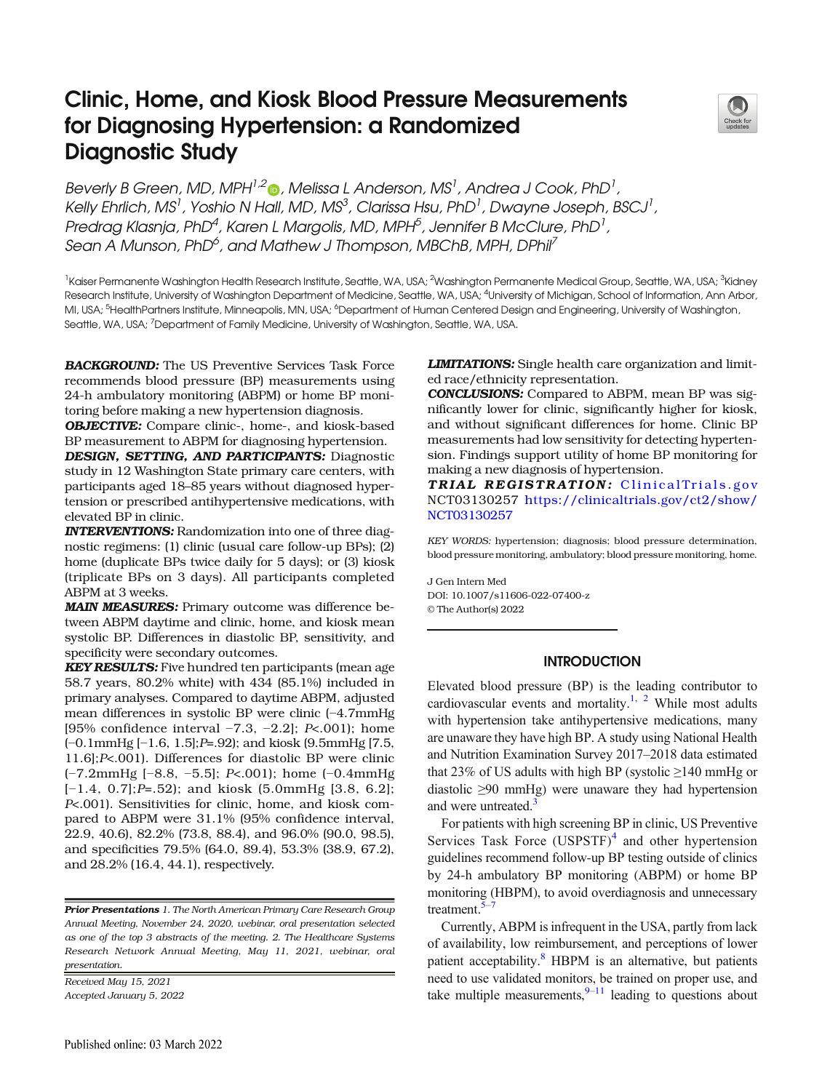# Clinic, Home, and Kiosk Blood Pressure Measurements for Diagnosing Hypertension: a Randomized Diagnostic Study



Beverly B Green[,](http://orcid.org/0000-0003-3040-3436) MD, MPH $^{1,2}$  , Melissa L Anderson, MS<sup>1</sup>, Andrea J Cook, PhD<sup>1</sup>, Kelly Ehrlich, MS<sup>1</sup>, Yoshio N Hall, MD, MS<sup>3</sup>, Clarissa Hsu, PhD<sup>1</sup>, Dwayne Joseph, BSCJ<sup>1</sup>, Predrag Klasnja, PhD $^4$ , Karen L Margolis, MD, MPH $^5$ , Jennifer B McClure, PhD $^1$ , Sean A Munson, PhD<sup>6</sup>, and Mathew J Thompson, MBChB, MPH, DPhil<sup>7</sup>

<sup>1</sup>Kaiser Permanente Washington Health Research Institute, Seattle, WA, USA; <sup>2</sup>Washington Permanente Medical Group, Seattle, WA, USA; <sup>3</sup>Kidney Research Institute, University of Washington Department of Medicine, Seattle, WA, USA; <sup>4</sup>University of Michigan, School of Information, Ann Arbor, MI, USA; <sup>5</sup>HealthPartners Institute, Minneapolis, MN, USA; <sup>6</sup>Department of Human Centered Design and Engineering, University of Washington, Seattle, WA, USA; <sup>7</sup>Department of Family Medicine, University of Washington, Seattle, WA, USA.

**BACKGROUND:** The US Preventive Services Task Force recommends blood pressure (BP) measurements using 24-h ambulatory monitoring (ABPM) or home BP monitoring before making a new hypertension diagnosis.

OBJECTIVE: Compare clinic-, home-, and kiosk-based BP measurement to ABPM for diagnosing hypertension.

DESIGN, SETTING, AND PARTICIPANTS: Diagnostic study in 12 Washington State primary care centers, with participants aged 18–85 years without diagnosed hypertension or prescribed antihypertensive medications, with elevated BP in clinic.

INTERVENTIONS: Randomization into one of three diagnostic regimens: (1) clinic (usual care follow-up BPs); (2) home (duplicate BPs twice daily for 5 days); or (3) kiosk (triplicate BPs on 3 days). All participants completed ABPM at 3 weeks.

MAIN MEASURES: Primary outcome was difference between ABPM daytime and clinic, home, and kiosk mean systolic BP. Differences in diastolic BP, sensitivity, and specificity were secondary outcomes.

**KEY RESULTS:** Five hundred ten participants (mean age 58.7 years, 80.2% white) with 434 (85.1%) included in primary analyses. Compared to daytime ABPM, adjusted mean differences in systolic BP were clinic (−4.7mmHg [95% confidence interval −7.3, −2.2]; P<.001); home (−0.1mmHg [−1.6, 1.5];P=.92); and kiosk (9.5mmHg [7.5, 11.6];P<.001). Differences for diastolic BP were clinic (−7.2mmHg [−8.8, −5.5]; P<.001); home (−0.4mmHg [−1.4, 0.7];P=.52); and kiosk (5.0mmHg [3.8, 6.2]; P<.001). Sensitivities for clinic, home, and kiosk compared to ABPM were 31.1% (95% confidence interval, 22.9, 40.6), 82.2% (73.8, 88.4), and 96.0% (90.0, 98.5), and specificities 79.5% (64.0, 89.4), 53.3% (38.9, 67.2), and 28.2% (16.4, 44.1), respectively.

**Prior Presentations** 1. The North American Primary Care Research Group Annual Meeting, November 24, 2020, webinar, oral presentation selected as one of the top 3 abstracts of the meeting. 2. The Healthcare Systems Research Network Annual Meeting, May 11, 2021, webinar, oral presentation.

Received May 15, 2021 Accepted January 5, 2022 **LIMITATIONS:** Single health care organization and limited race/ethnicity representation.

CONCLUSIONS: Compared to ABPM, mean BP was significantly lower for clinic, significantly higher for kiosk, and without significant differences for home. Clinic BP measurements had low sensitivity for detecting hypertension. Findings support utility of home BP monitoring for making a new diagnosis of hypertension.

TRIAL REGISTRATION: [ClinicalTrials.gov](http://clinicaltrials.gov) NCT03130257 [https://clinicaltrials.gov/ct2/show/](https://clinicaltrials.gov/ct2/show/NCT03130257) [NCT03130257](https://clinicaltrials.gov/ct2/show/NCT03130257)

KEY WORDS: hypertension; diagnosis; blood pressure determination, blood pressure monitoring, ambulatory; blood pressure monitoring, home.

J Gen Intern Med DOI: 10.1007/s11606-022-07400-z © The Author(s) 2022

## **INTRODUCTION**

Elevated blood pressure (BP) is the leading contributor to cardiovascular events and mortality.<sup>1, [2](#page-7-0)</sup> While most adults with hypertension take antihypertensive medications, many are unaware they have high BP. A study using National Health and Nutrition Examination Survey 2017–2018 data estimated that 23% of US adults with high BP (systolic ≥140 mmHg or diastolic ≥90 mmHg) were unaware they had hypertension and were untreated.<sup>3</sup>

For patients with high screening BP in clinic, US Preventive Services Task Force  $(USPSTF)^4$  $(USPSTF)^4$  and other hypertension guidelines recommend follow-up BP testing outside of clinics by 24-h ambulatory BP monitoring (ABPM) or home BP monitoring (HBPM), to avoid overdiagnosis and unnecessary treatment.<sup>5</sup>

Currently, ABPM is infrequent in the USA, partly from lack of availability, low reimbursement, and perceptions of lower patient acceptability.<sup>[8](#page-7-0)</sup> HBPM is an alternative, but patients need to use validated monitors, be trained on proper use, and take multiple measurements, $9-11$  $9-11$  $9-11$  leading to questions about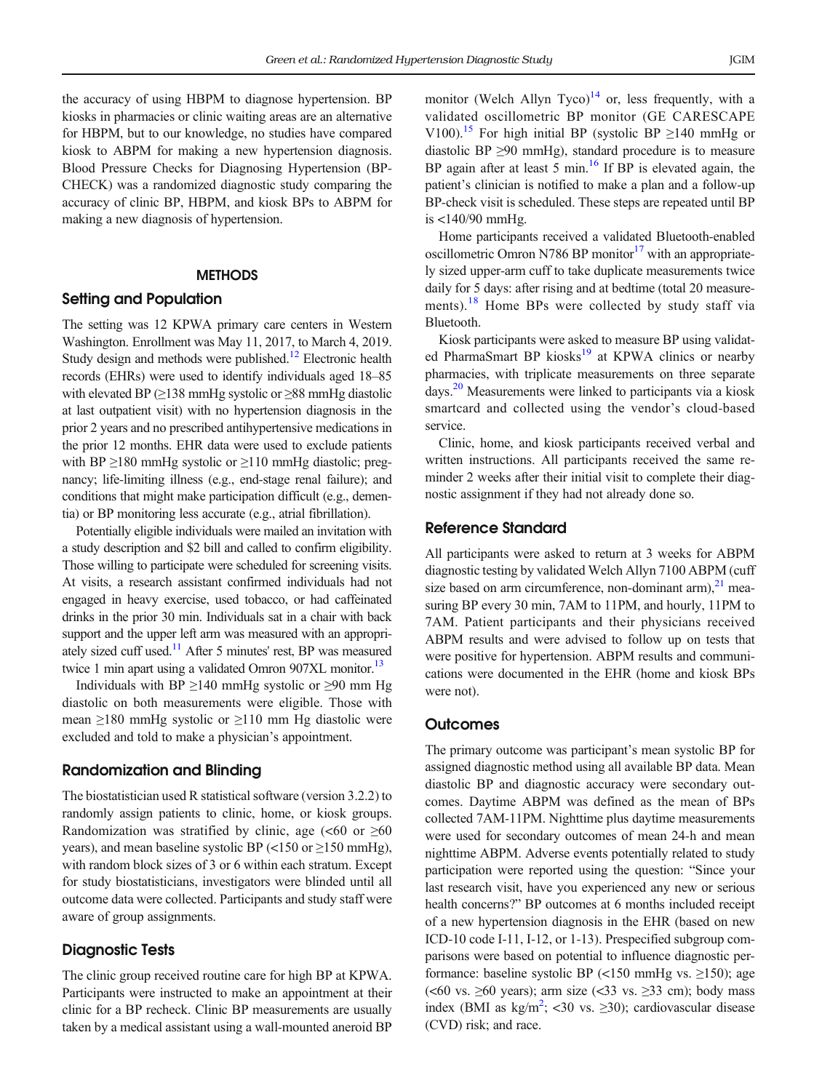the accuracy of using HBPM to diagnose hypertension. BP kiosks in pharmacies or clinic waiting areas are an alternative for HBPM, but to our knowledge, no studies have compared kiosk to ABPM for making a new hypertension diagnosis. Blood Pressure Checks for Diagnosing Hypertension (BP-CHECK) was a randomized diagnostic study comparing the accuracy of clinic BP, HBPM, and kiosk BPs to ABPM for making a new diagnosis of hypertension.

#### **METHODS**

## Setting and Population

The setting was 12 KPWA primary care centers in Western Washington. Enrollment was May 11, 2017, to March 4, 2019. Study design and methods were published.<sup>[12](#page-7-0)</sup> Electronic health records (EHRs) were used to identify individuals aged 18–85 with elevated BP (≥138 mmHg systolic or ≥88 mmHg diastolic at last outpatient visit) with no hypertension diagnosis in the prior 2 years and no prescribed antihypertensive medications in the prior 12 months. EHR data were used to exclude patients with BP  $\geq$ 180 mmHg systolic or  $\geq$ 110 mmHg diastolic; pregnancy; life-limiting illness (e.g., end-stage renal failure); and conditions that might make participation difficult (e.g., dementia) or BP monitoring less accurate (e.g., atrial fibrillation).

Potentially eligible individuals were mailed an invitation with a study description and \$2 bill and called to confirm eligibility. Those willing to participate were scheduled for screening visits. At visits, a research assistant confirmed individuals had not engaged in heavy exercise, used tobacco, or had caffeinated drinks in the prior 30 min. Individuals sat in a chair with back support and the upper left arm was measured with an appropri-ately sized cuff used.<sup>[11](#page-7-0)</sup> After 5 minutes' rest, BP was measured twice 1 min apart using a validated Omron 907XL monitor.<sup>13</sup>

Individuals with BP  $\geq$ 140 mmHg systolic or  $\geq$ 90 mm Hg diastolic on both measurements were eligible. Those with mean  $\geq$ 180 mmHg systolic or  $\geq$ 110 mm Hg diastolic were excluded and told to make a physician's appointment.

## Randomization and Blinding

The biostatistician used R statistical software (version 3.2.2) to randomly assign patients to clinic, home, or kiosk groups. Randomization was stratified by clinic, age  $\leq 60$  or  $\geq 60$ years), and mean baseline systolic BP (<150 or  $\geq$ 150 mmHg), with random block sizes of 3 or 6 within each stratum. Except for study biostatisticians, investigators were blinded until all outcome data were collected. Participants and study staff were aware of group assignments.

## Diagnostic Tests

The clinic group received routine care for high BP at KPWA. Participants were instructed to make an appointment at their clinic for a BP recheck. Clinic BP measurements are usually taken by a medical assistant using a wall-mounted aneroid BP monitor (Welch Allyn Tyco) $^{14}$  $^{14}$  $^{14}$  or, less frequently, with a validated oscillometric BP monitor (GE CARESCAPE V100).<sup>[15](#page-7-0)</sup> For high initial BP (systolic BP  $\geq$ 140 mmHg or diastolic BP  $\geq$ 90 mmHg), standard procedure is to measure BP again after at least 5 min. $16$  If BP is elevated again, the patient's clinician is notified to make a plan and a follow-up BP-check visit is scheduled. These steps are repeated until BP is <140/90 mmHg.

Home participants received a validated Bluetooth-enabled oscillometric Omron N786 BP monitor $17$  with an appropriately sized upper-arm cuff to take duplicate measurements twice daily for 5 days: after rising and at bedtime (total 20 measure-ments).<sup>[18](#page-7-0)</sup> Home BPs were collected by study staff via Bluetooth.

Kiosk participants were asked to measure BP using validated PharmaSmart BP kiosks<sup>19</sup> at KPWA clinics or nearby pharmacies, with triplicate measurements on three separate days[.20](#page-8-0) Measurements were linked to participants via a kiosk smartcard and collected using the vendor's cloud-based service.

Clinic, home, and kiosk participants received verbal and written instructions. All participants received the same reminder 2 weeks after their initial visit to complete their diagnostic assignment if they had not already done so.

## Reference Standard

All participants were asked to return at 3 weeks for ABPM diagnostic testing by validated Welch Allyn 7100 ABPM (cuff size based on arm circumference, non-dominant arm), $^{21}$  measuring BP every 30 min, 7AM to 11PM, and hourly, 11PM to 7AM. Patient participants and their physicians received ABPM results and were advised to follow up on tests that were positive for hypertension. ABPM results and communications were documented in the EHR (home and kiosk BPs were not).

#### **Outcomes**

The primary outcome was participant's mean systolic BP for assigned diagnostic method using all available BP data. Mean diastolic BP and diagnostic accuracy were secondary outcomes. Daytime ABPM was defined as the mean of BPs collected 7AM-11PM. Nighttime plus daytime measurements were used for secondary outcomes of mean 24-h and mean nighttime ABPM. Adverse events potentially related to study participation were reported using the question: "Since your last research visit, have you experienced any new or serious health concerns?" BP outcomes at 6 months included receipt of a new hypertension diagnosis in the EHR (based on new ICD-10 code I-11, I-12, or 1-13). Prespecified subgroup comparisons were based on potential to influence diagnostic performance: baseline systolic BP (<150 mmHg vs.  $\geq$ 150); age ( $<60$  vs.  $\geq<60$  years); arm size ( $<33$  vs.  $\geq>32$  cm); body mass index (BMI as  $kg/m^2$  $kg/m^2$ ; <30 vs. ≥30); cardiovascular disease (CVD) risk; and race.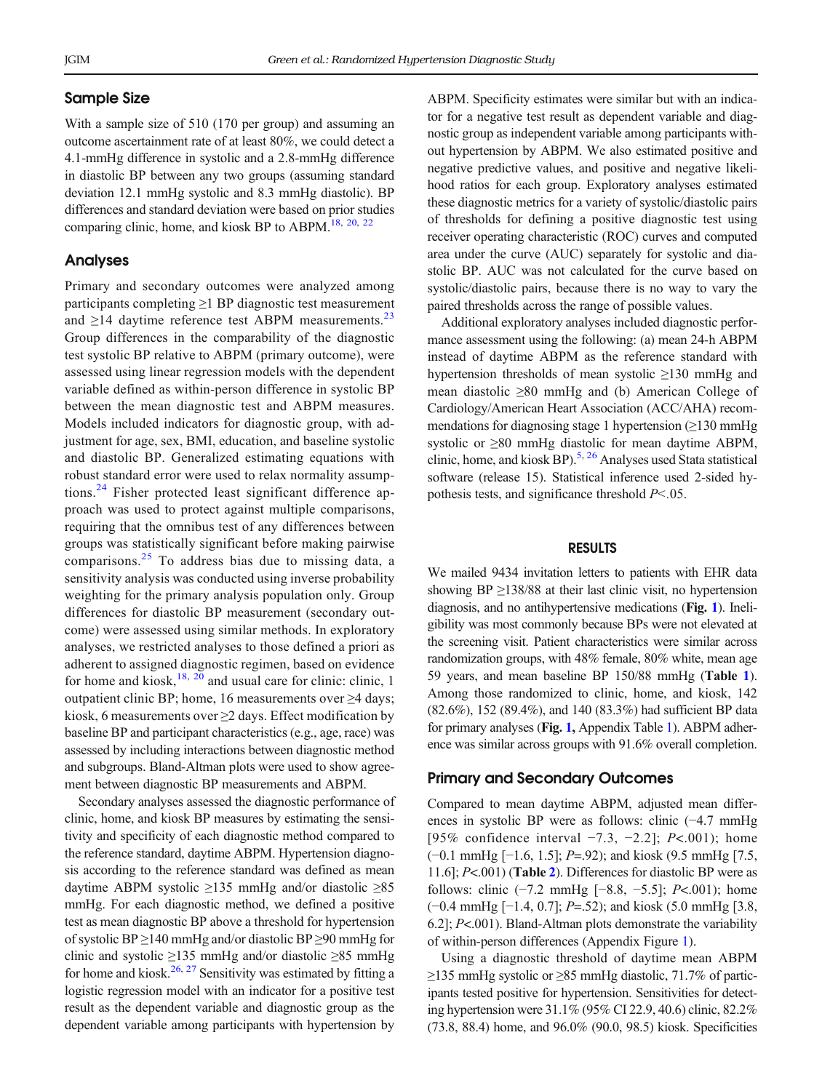### Sample Size

With a sample size of 510 (170 per group) and assuming an outcome ascertainment rate of at least 80%, we could detect a 4.1-mmHg difference in systolic and a 2.8-mmHg difference in diastolic BP between any two groups (assuming standard deviation 12.1 mmHg systolic and 8.3 mmHg diastolic). BP differences and standard deviation were based on prior studies comparing clinic, home, and kiosk BP to ABPM.<sup>[18,](#page-7-0) [20,](#page-8-0) [22](#page-8-0)</sup>

### Analyses

Primary and secondary outcomes were analyzed among participants completing ≥1 BP diagnostic test measurement and  $\geq$ 14 daytime reference test ABPM measurements.<sup>[23](#page-8-0)</sup> Group differences in the comparability of the diagnostic test systolic BP relative to ABPM (primary outcome), were assessed using linear regression models with the dependent variable defined as within-person difference in systolic BP between the mean diagnostic test and ABPM measures. Models included indicators for diagnostic group, with adjustment for age, sex, BMI, education, and baseline systolic and diastolic BP. Generalized estimating equations with robust standard error were used to relax normality assumptions.[24](#page-8-0) Fisher protected least significant difference approach was used to protect against multiple comparisons, requiring that the omnibus test of any differences between groups was statistically significant before making pairwise comparisons.[25](#page-8-0) To address bias due to missing data, a sensitivity analysis was conducted using inverse probability weighting for the primary analysis population only. Group differences for diastolic BP measurement (secondary outcome) were assessed using similar methods. In exploratory analyses, we restricted analyses to those defined a priori as adherent to assigned diagnostic regimen, based on evidence for home and kiosk,  $18$ ,  $20$  and usual care for clinic: clinic, 1 outpatient clinic BP; home, 16 measurements over ≥4 days; kiosk, 6 measurements over ≥2 days. Effect modification by baseline BP and participant characteristics (e.g., age, race) was assessed by including interactions between diagnostic method and subgroups. Bland-Altman plots were used to show agreement between diagnostic BP measurements and ABPM.

Secondary analyses assessed the diagnostic performance of clinic, home, and kiosk BP measures by estimating the sensitivity and specificity of each diagnostic method compared to the reference standard, daytime ABPM. Hypertension diagnosis according to the reference standard was defined as mean daytime ABPM systolic ≥135 mmHg and/or diastolic ≥85 mmHg. For each diagnostic method, we defined a positive test as mean diagnostic BP above a threshold for hypertension of systolic BP ≥140 mmHg and/or diastolic BP ≥90 mmHg for clinic and systolic ≥135 mmHg and/or diastolic ≥85 mmHg for home and kiosk.<sup>[26,](#page-8-0) [27](#page-8-0)</sup> Sensitivity was estimated by fitting a logistic regression model with an indicator for a positive test result as the dependent variable and diagnostic group as the dependent variable among participants with hypertension by

ABPM. Specificity estimates were similar but with an indicator for a negative test result as dependent variable and diagnostic group as independent variable among participants without hypertension by ABPM. We also estimated positive and negative predictive values, and positive and negative likelihood ratios for each group. Exploratory analyses estimated these diagnostic metrics for a variety of systolic/diastolic pairs of thresholds for defining a positive diagnostic test using receiver operating characteristic (ROC) curves and computed area under the curve (AUC) separately for systolic and diastolic BP. AUC was not calculated for the curve based on systolic/diastolic pairs, because there is no way to vary the paired thresholds across the range of possible values.

Additional exploratory analyses included diagnostic performance assessment using the following: (a) mean 24-h ABPM instead of daytime ABPM as the reference standard with hypertension thresholds of mean systolic ≥130 mmHg and mean diastolic ≥80 mmHg and (b) American College of Cardiology/American Heart Association (ACC/AHA) recommendations for diagnosing stage 1 hypertension (≥130 mmHg systolic or ≥80 mmHg diastolic for mean daytime ABPM, clinic, home, and kiosk BP)[.5,](#page-7-0) [26](#page-8-0) Analyses used Stata statistical software (release 15). Statistical inference used 2-sided hypothesis tests, and significance threshold  $P<.05$ .

## RESULTS

We mailed 9434 invitation letters to patients with EHR data showing BP  $\geq$ 138/88 at their last clinic visit, no hypertension diagnosis, and no antihypertensive medications (Fig. [1](#page-3-0)). Ineligibility was most commonly because BPs were not elevated at the screening visit. Patient characteristics were similar across randomization groups, with 48% female, 80% white, mean age 59 years, and mean baseline BP 150/88 mmHg (Table [1](#page-4-0)). Among those randomized to clinic, home, and kiosk, 142 (82.6%), 152 (89.4%), and 140 (83.3%) had sufficient BP data for primary analyses (Fig. [1,](#page-3-0) Appendix Table 1). ABPM adherence was similar across groups with 91.6% overall completion.

# Primary and Secondary Outcomes

Compared to mean daytime ABPM, adjusted mean differences in systolic BP were as follows: clinic (−4.7 mmHg [95% confidence interval −7.3, −2.2]; *P*<.001); home (−0.1 mmHg [−1.6, 1.5]; P=.92); and kiosk (9.5 mmHg [7.5, 11.6]; P<.001) (Table [2](#page-4-0)). Differences for diastolic BP were as follows: clinic (−7.2 mmHg [−8.8, −5.5]; P<.001); home (−0.4 mmHg [−1.4, 0.7]; P=.52); and kiosk (5.0 mmHg [3.8, 6.2]; P<.001). Bland-Altman plots demonstrate the variability of within-person differences (Appendix Figure 1).

Using a diagnostic threshold of daytime mean ABPM ≥135 mmHg systolic or ≥85 mmHg diastolic, 71.7% of participants tested positive for hypertension. Sensitivities for detecting hypertension were 31.1% (95% CI 22.9, 40.6) clinic, 82.2% (73.8, 88.4) home, and 96.0% (90.0, 98.5) kiosk. Specificities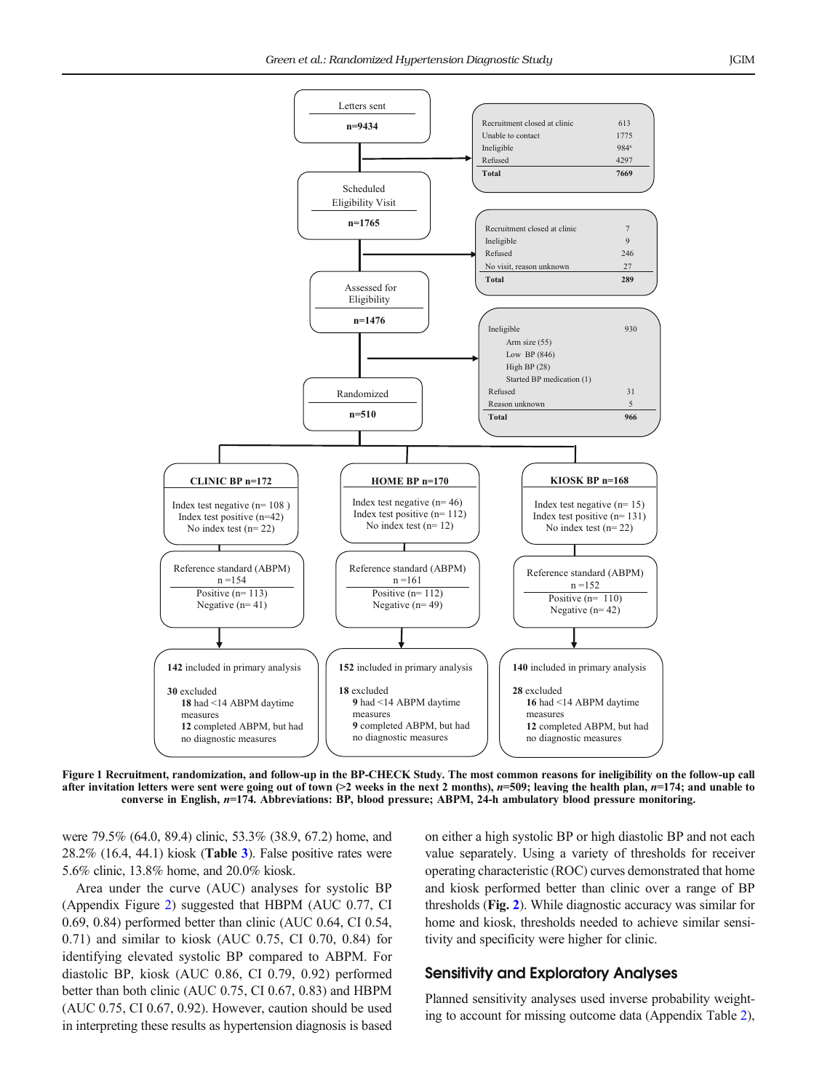<span id="page-3-0"></span>

Figure 1 Recruitment, randomization, and follow-up in the BP-CHECK Study. The most common reasons for ineligibility on the follow-up call after invitation letters were sent were going out of town  $(>2$  weeks in the next 2 months),  $n=509$ ; leaving the health plan,  $n=174$ ; and unable to converse in English, n=174. Abbreviations: BP, blood pressure; ABPM, 24-h ambulatory blood pressure monitoring.

were 79.5% (64.0, 89.4) clinic, 53.3% (38.9, 67.2) home, and  $28.2\%$  (16.4, 44.1) kiosk (**Table [3](#page-5-0)**). False positive rates were 5.6% clinic, 13.8% home, and 20.0% kiosk.

Area under the curve (AUC) analyses for systolic BP (Appendix Figure 2) suggested that HBPM (AUC 0.77, CI 0.69, 0.84) performed better than clinic (AUC 0.64, CI 0.54, 0.71) and similar to kiosk (AUC 0.75, CI 0.70, 0.84) for identifying elevated systolic BP compared to ABPM. For diastolic BP, kiosk (AUC 0.86, CI 0.79, 0.92) performed better than both clinic (AUC 0.75, CI 0.67, 0.83) and HBPM (AUC 0.75, CI 0.67, 0.92). However, caution should be used in interpreting these results as hypertension diagnosis is based on either a high systolic BP or high diastolic BP and not each value separately. Using a variety of thresholds for receiver operating characteristic (ROC) curves demonstrated that home and kiosk performed better than clinic over a range of BP thresholds (Fig. [2](#page-5-0)). While diagnostic accuracy was similar for home and kiosk, thresholds needed to achieve similar sensitivity and specificity were higher for clinic.

# Sensitivity and Exploratory Analyses

Planned sensitivity analyses used inverse probability weighting to account for missing outcome data (Appendix Table 2),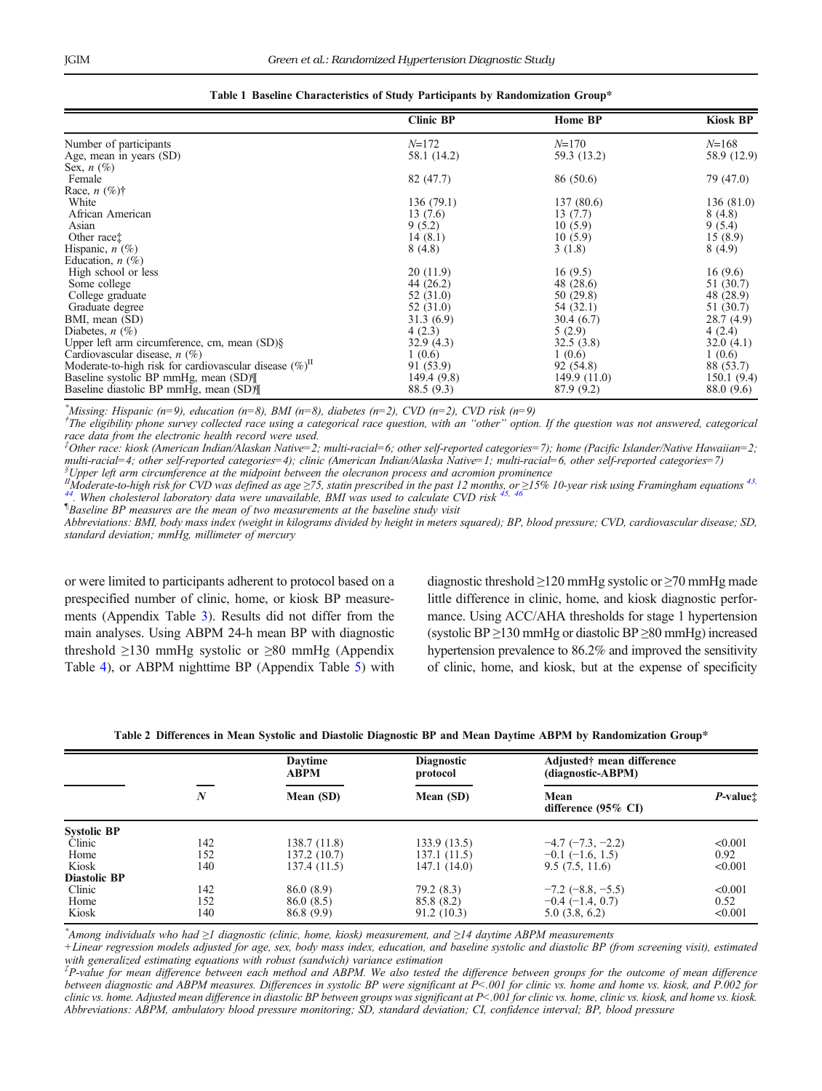<span id="page-4-0"></span>

|                                                               | <b>Clinic BP</b> | <b>Home BP</b> | Kiosk BP    |
|---------------------------------------------------------------|------------------|----------------|-------------|
| Number of participants                                        | $N = 172$        | $N = 170$      | $N = 168$   |
| Age, mean in years (SD)                                       | 58.1 (14.2)      | 59.3 (13.2)    | 58.9 (12.9) |
| Sex, $n$ $(\%)$                                               |                  |                |             |
| Female                                                        | 82 (47.7)        | 86 (50.6)      | 79 (47.0)   |
| Race, $n$ (%) <sup>†</sup>                                    |                  |                |             |
| White                                                         | 136(79.1)        | 137 (80.6)     | 136(81.0)   |
| African American                                              | 13(7.6)          | 13(7.7)        | 8(4.8)      |
| Asian                                                         | 9(5.2)           | 10(5.9)        | 9(5.4)      |
| Other race:                                                   | 14(8.1)          | 10(5.9)        | 15(8.9)     |
| Hispanic, $n$ (%)                                             | 8(4.8)           | 3(1.8)         | 8(4.9)      |
| Education, $n(\%)$                                            |                  |                |             |
| High school or less                                           | 20(11.9)         | 16(9.5)        | 16(9.6)     |
| Some college                                                  | 44 (26.2)        | 48 (28.6)      | 51 (30.7)   |
| College graduate                                              | 52 (31.0)        | 50 (29.8)      | 48 (28.9)   |
| Graduate degree                                               | 52 (31.0)        | 54 (32.1)      | 51 (30.7)   |
| BMI, mean (SD)                                                | 31.3(6.9)        | 30.4 (6.7)     | 28.7(4.9)   |
| Diabetes, $n$ (%)                                             | 4(2.3)           | 5(2.9)         | 4(2.4)      |
| Upper left arm circumference, cm, mean $(SD)\$ §              | 32.9(4.3)        | 32.5(3.8)      | 32.0(4.1)   |
| Cardiovascular disease, $n$ (%)                               | 1(0.6)           | 1(0.6)         | 1(0.6)      |
| Moderate-to-high risk for cardiovascular disease $(\%)^{\Pi}$ | 91 (53.9)        | 92 (54.8)      | 88 (53.7)   |
| Baseline systolic BP mmHg, mean (SD)                          | 149.4 (9.8)      | 149.9(11.0)    | 150.1(9.4)  |
| Baseline diastolic BP mmHg, mean (SD)                         | 88.5 (9.3)       | 87.9 (9.2)     | 88.0 (9.6)  |

| Table 1 Baseline Characteristics of Study Participants by Randomization Group* |  |
|--------------------------------------------------------------------------------|--|
|--------------------------------------------------------------------------------|--|

\*Missing: Hispanic (n=9), education (n=8), BMI (n=8), diabetes (n=2), CVD (n=2), CVD risk (n=9)

† The eligibility phone survey collected race using a categorical race question, with an "other" option. If the question was not answered, categorical race data from the electronic health record were used.

‡ Other race: kiosk (American Indian/Alaskan Native=2; multi-racial=6; other self-reported categories=7); home (Pacific Islander/Native Hawaiian=2; multi-racial=4; other self-reported categories=4); clinic (American Indian/Alaska Native=1; multi-racial=6, other self-reported categories=7) Upper left arm circumference at the midpoint between the olecranon process and acromion prominence

 ${}^{I\!I}$ Moderate-to-high risk for CVD was defined as age  $\geq$ 75, statin prescribed in the past 12 months, or  $\geq$ 15% 10-year risk using Framingham equations <sup>[43](#page-8-0),</sup> [44.](#page-8-0) When cholesterol laboratory data were unavailable, BMI was used to calculate CVD risk  $45$ ,

¶ Baseline BP measures are the mean of two measurements at the baseline study visit

Abbreviations: BMI, body mass index (weight in kilograms divided by height in meters squared); BP, blood pressure; CVD, cardiovascular disease; SD, standard deviation; mmHg, millimeter of mercury

or were limited to participants adherent to protocol based on a prespecified number of clinic, home, or kiosk BP measurements (Appendix Table 3). Results did not differ from the main analyses. Using ABPM 24-h mean BP with diagnostic threshold  $\geq$ 130 mmHg systolic or  $\geq$ 80 mmHg (Appendix Table 4), or ABPM nighttime BP (Appendix Table 5) with diagnostic threshold  $\geq$ 120 mmHg systolic or  $\geq$ 70 mmHg made little difference in clinic, home, and kiosk diagnostic performance. Using ACC/AHA thresholds for stage 1 hypertension (systolic BP  $\geq$ 130 mmHg or diastolic BP  $\geq$ 80 mmHg) increased hypertension prevalence to 86.2% and improved the sensitivity of clinic, home, and kiosk, but at the expense of specificity

|                     |                  | <b>Daytime</b><br><b>ABPM</b> | <b>Diagnostic</b><br>protocol | Adjusted† mean difference<br>(diagnostic-ABPM) |                      |  |
|---------------------|------------------|-------------------------------|-------------------------------|------------------------------------------------|----------------------|--|
|                     | $\boldsymbol{N}$ | Mean (SD)                     | Mean (SD)                     | Mean<br>difference $(95\% \text{ CI})$         | P-value <sup>+</sup> |  |
| <b>Systolic BP</b>  |                  |                               |                               |                                                |                      |  |
| Clinic              | 142              | 138.7 (11.8)                  | 133.9 (13.5)                  | $-4.7$ ( $-7.3$ , $-2.2$ )                     | < 0.001              |  |
| Home                | 152              | 137.2 (10.7)                  | 137.1 (11.5)                  | $-0.1$ (-1.6, 1.5)                             | 0.92                 |  |
| Kiosk               | 140              | 137.4 (11.5)                  | 147.1 (14.0)                  | 9.5(7.5, 11.6)                                 | < 0.001              |  |
| <b>Diastolic BP</b> |                  |                               |                               |                                                |                      |  |
| Clinic              | 142              | 86.0(8.9)                     | 79.2(8.3)                     | $-7.2$ (-8.8, -5.5)                            | < 0.001              |  |
| Home                | 152              | 86.0 (8.5)                    | 85.8 (8.2)                    | $-0.4$ (-1.4, 0.7)                             | 0.52                 |  |
| Kiosk               | 140              | 86.8 (9.9)                    | 91.2(10.3)                    | 5.0(3.8, 6.2)                                  | < 0.001              |  |

Table 2 Differences in Mean Systolic and Diastolic Diagnostic BP and Mean Daytime ABPM by Randomization Group\*

\* Among individuals who had ≥1 diagnostic (clinic, home, kiosk) measurement, and ≥14 daytime ABPM measurements

+Linear regression models adjusted for age, sex, body mass index, education, and baseline systolic and diastolic BP (from screening visit), estimated with generalized estimating equations with robust (sandwich) variance estimation

‡ P-value for mean difference between each method and ABPM. We also tested the difference between groups for the outcome of mean difference between diagnostic and ABPM measures. Differences in systolic BP were significant at P<.001 for clinic vs. home and home vs. kiosk, and P.002 for clinic vs. home. Adjusted mean difference in diastolic BP between groups was significant at P<.001 for clinic vs. home, clinic vs. kiosk, and home vs. kiosk. Abbreviations: ABPM, ambulatory blood pressure monitoring; SD, standard deviation; CI, confidence interval; BP, blood pressure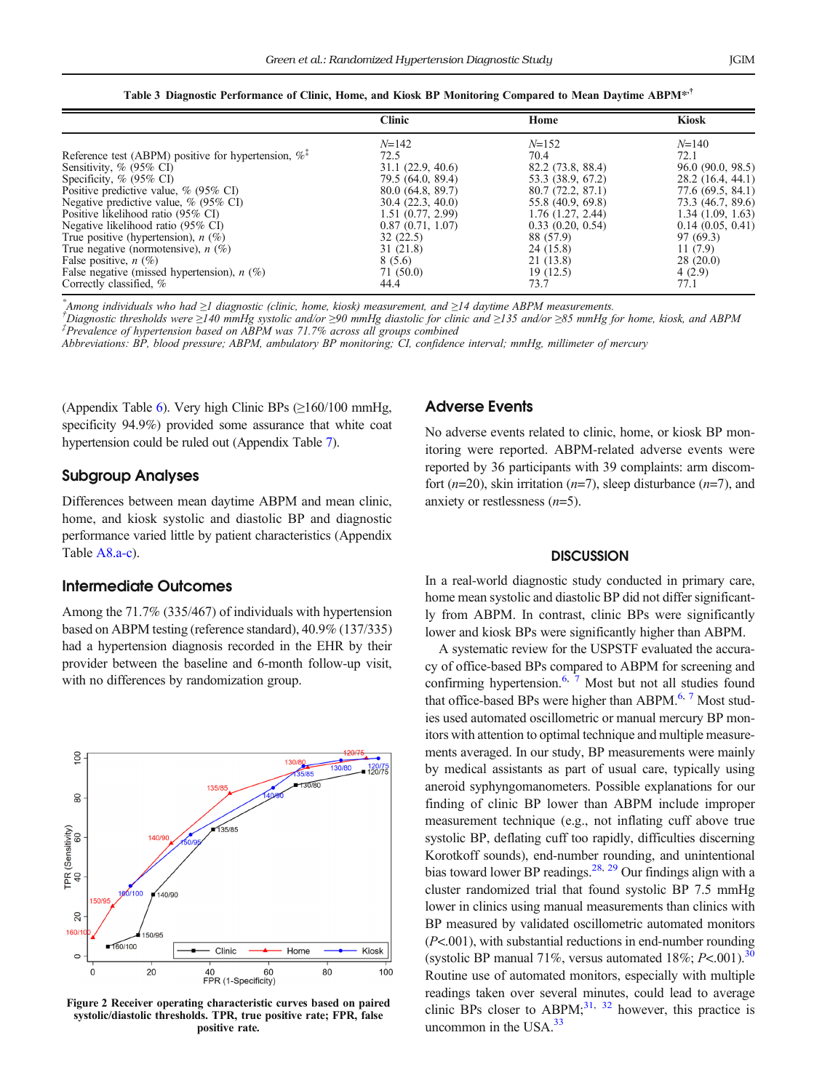|  | Table 3 Diagnostic Performance of Clinic, Home, and Kiosk BP Monitoring Compared to Mean Daytime ABPM <sup>**†</sup> |  |  |  |  |  |
|--|----------------------------------------------------------------------------------------------------------------------|--|--|--|--|--|
|  |                                                                                                                      |  |  |  |  |  |

<span id="page-5-0"></span>

|                                                                 | <b>Clinic</b>     | Home                  | <b>Kiosk</b>      |
|-----------------------------------------------------------------|-------------------|-----------------------|-------------------|
|                                                                 | $N = 142$         | $N = 152$             | $N = 140$         |
| Reference test (ABPM) positive for hypertension, $\%^{\dagger}$ | 72.5              | 70.4                  | 72.1              |
| Sensitivity, $\%$ (95 $\%$ CI)                                  | 31.1(22.9, 40.6)  | 82.2 (73.8, 88.4)     | 96.0 (90.0, 98.5) |
| Specificity, $% (95% CI)$                                       | 79.5 (64.0, 89.4) | 53.3 (38.9, 67.2)     | 28.2 (16.4, 44.1) |
| Positive predictive value, $\%$ (95\% CI)                       | 80.0(64.8, 89.7)  | 80.7(72.2, 87.1)      | 77.6 (69.5, 84.1) |
| Negative predictive value, $\%$ (95\% CI)                       | 30.4(22.3, 40.0)  | 55.8 (40.9, 69.8)     | 73.3 (46.7, 89.6) |
| Positive likelihood ratio (95% CI)                              | 1.51 (0.77, 2.99) | $1.76$ $(1.27, 2.44)$ | 1.34(1.09, 1.63)  |
| Negative likelihood ratio (95% CI)                              | 0.87(0.71, 1.07)  | 0.33(0.20, 0.54)      | 0.14(0.05, 0.41)  |
| True positive (hypertension), $n$ (%)                           | 32(22.5)          | 88 (57.9)             | 97 (69.3)         |
| True negative (normotensive), $n$ (%)                           | 31 (21.8)         | 24 (15.8)             | 11(7.9)           |
| False positive, $n$ (%)                                         | 8 (5.6)           | 21 (13.8)             | 28(20.0)          |
| False negative (missed hypertension), $n$ (%)                   | 71 (50.0)         | 19(12.5)              | 4(2.9)            |
| Correctly classified, %                                         | 44.4              | 73.7                  | 77.1              |

\* Among individuals who had <sup>≥</sup>1 diagnostic (clinic, home, kiosk) measurement, and <sup>≥</sup>14 daytime ABPM measurements. †

<sup>†</sup>Diagnostic thresholds were ≥140 mmHg systolic and/or ≥90 mmHg diastolic for clinic and ≥135 and/or ≥85 mmHg for home, kiosk, and ABPM  $P^{\dagger}$ Prevalence of hypertension based on ABPM was 71.7% across all groups combined

Abbreviations: BP, blood pressure; ABPM, ambulatory BP monitoring; CI, confidence interval; mmHg, millimeter of mercury

(Appendix Table 6). Very high Clinic BPs  $(≥160/100 \text{ mmHg})$ , specificity 94.9%) provided some assurance that white coat hypertension could be ruled out (Appendix Table 7).

#### Subgroup Analyses

Differences between mean daytime ABPM and mean clinic, home, and kiosk systolic and diastolic BP and diagnostic performance varied little by patient characteristics (Appendix Table A8.a-c).

#### Intermediate Outcomes

Among the 71.7% (335/467) of individuals with hypertension based on ABPM testing (reference standard), 40.9% (137/335) had a hypertension diagnosis recorded in the EHR by their provider between the baseline and 6-month follow-up visit, with no differences by randomization group.



Figure 2 Receiver operating characteristic curves based on paired systolic/diastolic thresholds. TPR, true positive rate; FPR, false positive rate.

# Adverse Events

No adverse events related to clinic, home, or kiosk BP monitoring were reported. ABPM-related adverse events were reported by 36 participants with 39 complaints: arm discomfort  $(n=20)$ , skin irritation  $(n=7)$ , sleep disturbance  $(n=7)$ , and anxiety or restlessness  $(n=5)$ .

#### **DISCUSSION**

In a real-world diagnostic study conducted in primary care, home mean systolic and diastolic BP did not differ significantly from ABPM. In contrast, clinic BPs were significantly lower and kiosk BPs were significantly higher than ABPM.

A systematic review for the USPSTF evaluated the accuracy of office-based BPs compared to ABPM for screening and confirming hypertension.<sup>6, [7](#page-7-0)</sup> Most but not all studies found that office-based BPs were higher than ABPM. $6, 7$  $6, 7$  Most studies used automated oscillometric or manual mercury BP monitors with attention to optimal technique and multiple measurements averaged. In our study, BP measurements were mainly by medical assistants as part of usual care, typically using aneroid syphyngomanometers. Possible explanations for our finding of clinic BP lower than ABPM include improper measurement technique (e.g., not inflating cuff above true systolic BP, deflating cuff too rapidly, difficulties discerning Korotkoff sounds), end-number rounding, and unintentional bias toward lower BP readings.<sup>28, [29](#page-8-0)</sup> Our findings align with a cluster randomized trial that found systolic BP 7.5 mmHg lower in clinics using manual measurements than clinics with BP measured by validated oscillometric automated monitors  $(P<.001)$ , with substantial reductions in end-number rounding (systolic BP manual 71%, versus automated 18%;  $P < .001$ ).<sup>[30](#page-8-0)</sup> Routine use of automated monitors, especially with multiple readings taken over several minutes, could lead to average clinic BPs closer to ABPM; $^{31, 32}$  $^{31, 32}$  $^{31, 32}$  however, this practice is uncommon in the USA. $33$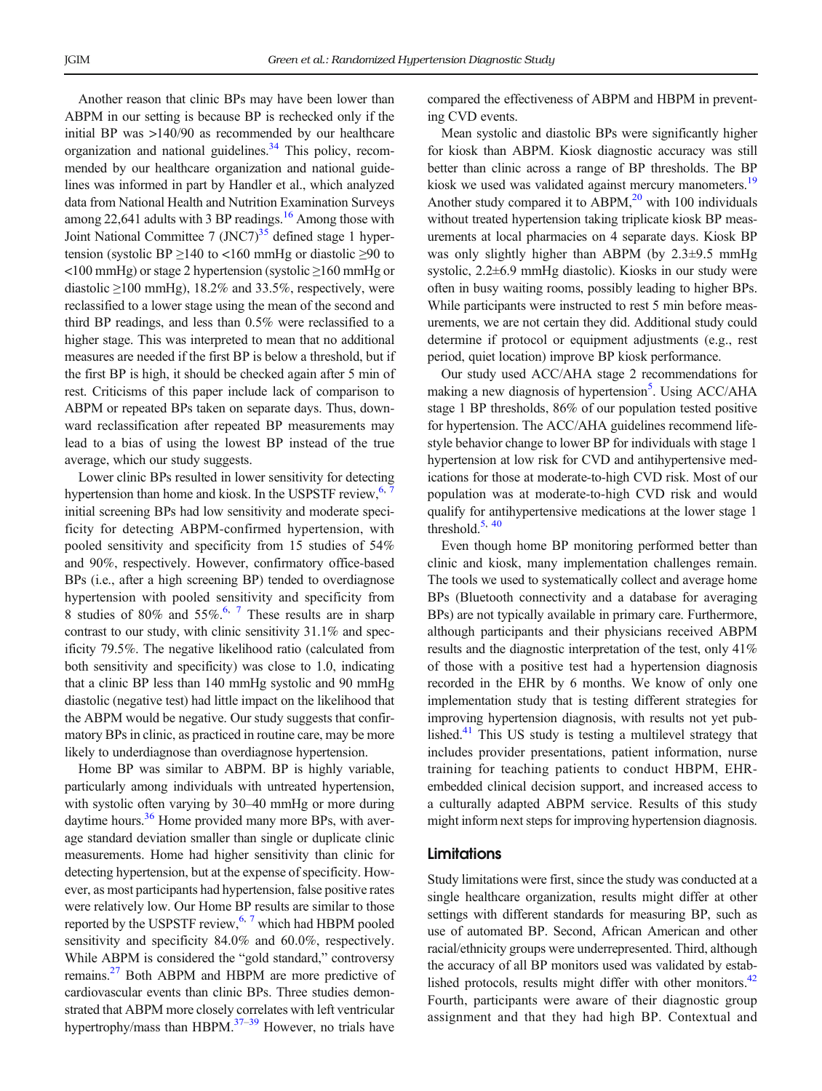Another reason that clinic BPs may have been lower than ABPM in our setting is because BP is rechecked only if the initial BP was >140/90 as recommended by our healthcare organization and national guidelines.<sup>[34](#page-8-0)</sup> This policy, recommended by our healthcare organization and national guidelines was informed in part by Handler et al., which analyzed data from National Health and Nutrition Examination Surveys among 22,641 adults with 3 BP readings.<sup>16</sup> Among those with Joint National Committee 7 (JNC7) $35$  defined stage 1 hypertension (systolic BP  $\geq$ 140 to <160 mmHg or diastolic  $\geq$ 90 to <100 mmHg) or stage 2 hypertension (systolic ≥160 mmHg or diastolic  $\geq$ 100 mmHg), 18.2% and 33.5%, respectively, were reclassified to a lower stage using the mean of the second and third BP readings, and less than 0.5% were reclassified to a higher stage. This was interpreted to mean that no additional measures are needed if the first BP is below a threshold, but if the first BP is high, it should be checked again after 5 min of rest. Criticisms of this paper include lack of comparison to ABPM or repeated BPs taken on separate days. Thus, downward reclassification after repeated BP measurements may lead to a bias of using the lowest BP instead of the true average, which our study suggests.

Lower clinic BPs resulted in lower sensitivity for detecting hypertension than home and kiosk. In the USPSTF review,  $6.7$  $6.7$ initial screening BPs had low sensitivity and moderate specificity for detecting ABPM-confirmed hypertension, with pooled sensitivity and specificity from 15 studies of 54% and 90%, respectively. However, confirmatory office-based BPs (i.e., after a high screening BP) tended to overdiagnose hypertension with pooled sensitivity and specificity from 8 studies of 80% and  $55\%$ .<sup>6, [7](#page-7-0)</sup> These results are in sharp contrast to our study, with clinic sensitivity 31.1% and specificity 79.5%. The negative likelihood ratio (calculated from both sensitivity and specificity) was close to 1.0, indicating that a clinic BP less than 140 mmHg systolic and 90 mmHg diastolic (negative test) had little impact on the likelihood that the ABPM would be negative. Our study suggests that confirmatory BPs in clinic, as practiced in routine care, may be more likely to underdiagnose than overdiagnose hypertension.

Home BP was similar to ABPM. BP is highly variable, particularly among individuals with untreated hypertension, with systolic often varying by 30–40 mmHg or more during daytime hours.<sup>[36](#page-8-0)</sup> Home provided many more BPs, with average standard deviation smaller than single or duplicate clinic measurements. Home had higher sensitivity than clinic for detecting hypertension, but at the expense of specificity. However, as most participants had hypertension, false positive rates were relatively low. Our Home BP results are similar to those reported by the USPSTF review,  $6, 7$  $6, 7$  which had HBPM pooled sensitivity and specificity 84.0% and 60.0%, respectively. While ABPM is considered the "gold standard," controversy remains.<sup>[27](#page-8-0)</sup> Both ABPM and HBPM are more predictive of cardiovascular events than clinic BPs. Three studies demonstrated that ABPM more closely correlates with left ventricular hypertrophy/mass than HBPM. $37-39$  $37-39$  $37-39$  However, no trials have

compared the effectiveness of ABPM and HBPM in preventing CVD events.

Mean systolic and diastolic BPs were significantly higher for kiosk than ABPM. Kiosk diagnostic accuracy was still better than clinic across a range of BP thresholds. The BP kiosk we used was validated against mercury manometers.<sup>[19](#page-8-0)</sup> Another study compared it to  $ABPM<sup>20</sup>$  with 100 individuals without treated hypertension taking triplicate kiosk BP measurements at local pharmacies on 4 separate days. Kiosk BP was only slightly higher than ABPM (by  $2.3\pm9.5$  mmHg systolic, 2.2±6.9 mmHg diastolic). Kiosks in our study were often in busy waiting rooms, possibly leading to higher BPs. While participants were instructed to rest 5 min before measurements, we are not certain they did. Additional study could determine if protocol or equipment adjustments (e.g., rest period, quiet location) improve BP kiosk performance.

Our study used ACC/AHA stage 2 recommendations for making a new diagnosis of hypertension<sup>5</sup>. Using ACC/AHA stage 1 BP thresholds, 86% of our population tested positive for hypertension. The ACC/AHA guidelines recommend lifestyle behavior change to lower BP for individuals with stage 1 hypertension at low risk for CVD and antihypertensive medications for those at moderate-to-high CVD risk. Most of our population was at moderate-to-high CVD risk and would qualify for antihypertensive medications at the lower stage 1 threshold. $5, 40$  $5, 40$ 

Even though home BP monitoring performed better than clinic and kiosk, many implementation challenges remain. The tools we used to systematically collect and average home BPs (Bluetooth connectivity and a database for averaging BPs) are not typically available in primary care. Furthermore, although participants and their physicians received ABPM results and the diagnostic interpretation of the test, only 41% of those with a positive test had a hypertension diagnosis recorded in the EHR by 6 months. We know of only one implementation study that is testing different strategies for improving hypertension diagnosis, with results not yet published.<sup>41</sup> This US study is testing a multilevel strategy that includes provider presentations, patient information, nurse training for teaching patients to conduct HBPM, EHRembedded clinical decision support, and increased access to a culturally adapted ABPM service. Results of this study might inform next steps for improving hypertension diagnosis.

# **Limitations**

Study limitations were first, since the study was conducted at a single healthcare organization, results might differ at other settings with different standards for measuring BP, such as use of automated BP. Second, African American and other racial/ethnicity groups were underrepresented. Third, although the accuracy of all BP monitors used was validated by estab-lished protocols, results might differ with other monitors.<sup>[42](#page-8-0)</sup> Fourth, participants were aware of their diagnostic group assignment and that they had high BP. Contextual and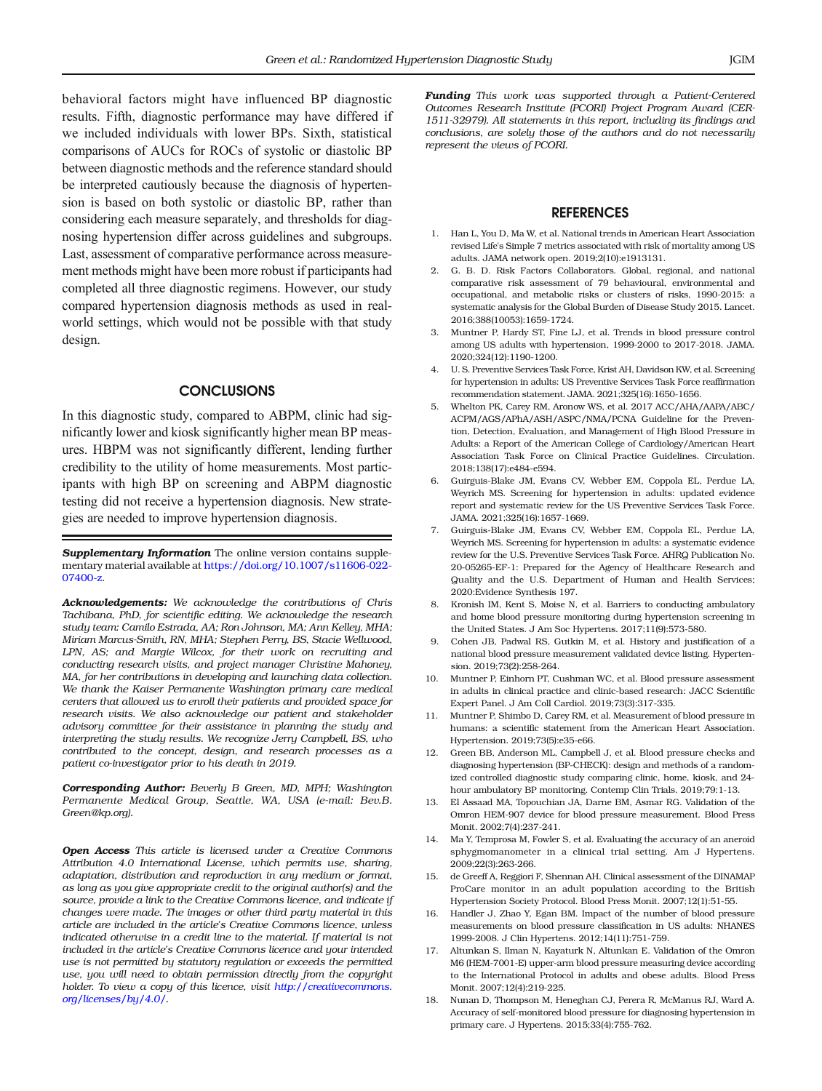<span id="page-7-0"></span>behavioral factors might have influenced BP diagnostic results. Fifth, diagnostic performance may have differed if we included individuals with lower BPs. Sixth, statistical comparisons of AUCs for ROCs of systolic or diastolic BP between diagnostic methods and the reference standard should be interpreted cautiously because the diagnosis of hypertension is based on both systolic or diastolic BP, rather than considering each measure separately, and thresholds for diagnosing hypertension differ across guidelines and subgroups. Last, assessment of comparative performance across measurement methods might have been more robust if participants had completed all three diagnostic regimens. However, our study compared hypertension diagnosis methods as used in realworld settings, which would not be possible with that study design.

#### **CONCLUSIONS**

In this diagnostic study, compared to ABPM, clinic had significantly lower and kiosk significantly higher mean BP measures. HBPM was not significantly different, lending further credibility to the utility of home measurements. Most participants with high BP on screening and ABPM diagnostic testing did not receive a hypertension diagnosis. New strategies are needed to improve hypertension diagnosis.

Supplementary Information The online version contains supplementary material available at [https://doi.org/10.1007/s11606-022-](https://doi.org/10.1007/s11606-022-07400-z) [07400-z.](https://doi.org/10.1007/s11606-022-07400-z)

Acknowledgements: We acknowledge the contributions of Chris Tachibana, PhD, for scientific editing. We acknowledge the research study team: Camilo Estrada, AA; Ron Johnson, MA; Ann Kelley, MHA; Miriam Marcus-Smith, RN, MHA; Stephen Perry, BS, Stacie Wellwood, LPN, AS; and Margie Wilcox, for their work on recruiting and conducting research visits, and project manager Christine Mahoney, MA, for her contributions in developing and launching data collection. We thank the Kaiser Permanente Washington primary care medical centers that allowed us to enroll their patients and provided space for research visits. We also acknowledge our patient and stakeholder advisory committee for their assistance in planning the study and interpreting the study results. We recognize Jerry Campbell, BS, who contributed to the concept, design, and research processes as a patient co-investigator prior to his death in 2019.

Corresponding Author: Beverly B Green, MD, MPH; Washington Permanente Medical Group, Seattle, WA, USA (e-mail: Bev.B. Green@kp.org).

Open Access This article is licensed under a Creative Commons Attribution 4.0 International License, which permits use, sharing, adaptation, distribution and reproduction in any medium or format, as long as you give appropriate credit to the original author(s) and the source, provide a link to the Creative Commons licence, and indicate if changes were made. The images or other third party material in this article are included in the article's Creative Commons licence, unless indicated otherwise in a credit line to the material. If material is not included in the article's Creative Commons licence and your intended use is not permitted by statutory regulation or exceeds the permitted use, you will need to obtain permission directly from the copyright holder. To view a copy of this licence, visit [http://creativecommons.](http://dx.doi.org/http://creativecommons.org/licenses/by/4.0/) [org/licenses/by/4.0/](http://dx.doi.org/http://creativecommons.org/licenses/by/4.0/).

Funding This work was supported through a Patient-Centered Outcomes Research Institute (PCORI) Project Program Award (CER-1511-32979). All statements in this report, including its findings and conclusions, are solely those of the authors and do not necessarily represent the views of PCORI.

#### REFERENCES

- 1. Han L, You D, Ma W, et al. National trends in American Heart Association revised Life's Simple 7 metrics associated with risk of mortality among US adults. JAMA network open. 2019;2(10):e1913131.
- 2. G. B. D. Risk Factors Collaborators. Global, regional, and national comparative risk assessment of 79 behavioural, environmental and occupational, and metabolic risks or clusters of risks, 1990-2015: a systematic analysis for the Global Burden of Disease Study 2015. Lancet. 2016;388(10053):1659-1724.
- 3. Muntner P, Hardy ST, Fine LJ, et al. Trends in blood pressure control among US adults with hypertension, 1999-2000 to 2017-2018. JAMA. 2020;324(12):1190-1200.
- 4. U. S. Preventive Services Task Force, Krist AH, Davidson KW, et al. Screening for hypertension in adults: US Preventive Services Task Force reaffirmation recommendation statement. JAMA. 2021;325(16):1650-1656.
- 5. Whelton PK, Carey RM, Aronow WS, et al. 2017 ACC/AHA/AAPA/ABC/ ACPM/AGS/APhA/ASH/ASPC/NMA/PCNA Guideline for the Prevention, Detection, Evaluation, and Management of High Blood Pressure in Adults: a Report of the American College of Cardiology/American Heart Association Task Force on Clinical Practice Guidelines. Circulation. 2018;138(17):e484-e594.
- 6. Guirguis-Blake JM, Evans CV, Webber EM, Coppola EL, Perdue LA, Weyrich MS. Screening for hypertension in adults: updated evidence report and systematic review for the US Preventive Services Task Force. JAMA. 2021;325(16):1657-1669.
- 7. Guirguis-Blake JM, Evans CV, Webber EM, Coppola EL, Perdue LA, Weyrich MS. Screening for hypertension in adults: a systematic evidence review for the U.S. Preventive Services Task Force. AHRQ Publication No. 20-05265-EF-1: Prepared for the Agency of Healthcare Research and Quality and the U.S. Department of Human and Health Services; 2020:Evidence Synthesis 197.
- 8. Kronish IM, Kent S, Moise N, et al. Barriers to conducting ambulatory and home blood pressure monitoring during hypertension screening in the United States. J Am Soc Hypertens. 2017;11(9):573-580.
- 9. Cohen JB, Padwal RS, Gutkin M, et al. History and justification of a national blood pressure measurement validated device listing. Hypertension. 2019;73(2):258-264.
- 10. Muntner P, Einhorn PT, Cushman WC, et al. Blood pressure assessment in adults in clinical practice and clinic-based research: JACC Scientific Expert Panel. J Am Coll Cardiol. 2019;73(3):317-335.
- 11. Muntner P, Shimbo D, Carey RM, et al. Measurement of blood pressure in humans: a scientific statement from the American Heart Association. Hypertension. 2019;73(5):e35-e66.
- 12. Green BB, Anderson ML, Campbell J, et al. Blood pressure checks and diagnosing hypertension (BP-CHECK): design and methods of a randomized controlled diagnostic study comparing clinic, home, kiosk, and 24 hour ambulatory BP monitoring. Contemp Clin Trials. 2019;79:1-13.
- 13. El Assaad MA, Topouchian JA, Darne BM, Asmar RG. Validation of the Omron HEM-907 device for blood pressure measurement. Blood Press Monit. 2002;7(4):237-241.
- 14. Ma Y, Temprosa M, Fowler S, et al. Evaluating the accuracy of an aneroid sphygmomanometer in a clinical trial setting. Am J Hypertens. 2009;22(3):263-266.
- 15. de Greeff A, Reggiori F, Shennan AH. Clinical assessment of the DINAMAP ProCare monitor in an adult population according to the British Hypertension Society Protocol. Blood Press Monit. 2007;12(1):51-55.
- 16. Handler J, Zhao Y, Egan BM. Impact of the number of blood pressure measurements on blood pressure classification in US adults: NHANES 1999-2008. J Clin Hypertens. 2012;14(11):751-759.
- 17. Altunkan S, Ilman N, Kayaturk N, Altunkan E. Validation of the Omron M6 (HEM-7001-E) upper-arm blood pressure measuring device according to the International Protocol in adults and obese adults. Blood Press Monit. 2007;12(4):219-225.
- Nunan D, Thompson M, Heneghan CJ, Perera R, McManus RJ, Ward A. Accuracy of self-monitored blood pressure for diagnosing hypertension in primary care. J Hypertens. 2015;33(4):755-762.